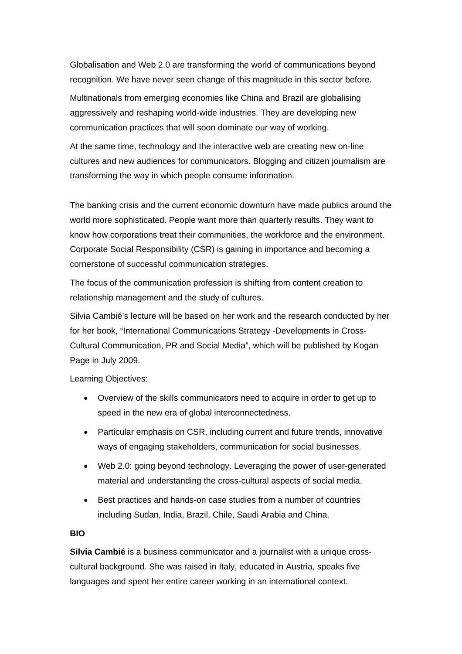Globalisation and Web 2.0 are transforming the world of communications beyond recognition. We have never seen change of this magnitude in this sector before.

Multinationals from emerging economies like China and Brazil are globalising aggressively and reshaping world-wide industries. They are developing new communication practices that will soon dominate our way of working.

At the same time, technology and the interactive web are creating new on-line cultures and new audiences for communicators. Blogging and citizen journalism are transforming the way in which people consume information.

The banking crisis and the current economic downturn have made publics around the world more sophisticated. People want more than quarterly results. They want to know how corporations treat their communities, the workforce and the environment. Corporate Social Responsibility (CSR) is gaining in importance and becoming a cornerstone of successful communication strategies.

The focus of the communication profession is shifting from content creation to relationship management and the study of cultures.

Silvia Cambié's lecture will be based on her work and the research conducted by her for her book, "International Communications Strategy -Developments in Cross-Cultural Communication, PR and Social Media", which will be published by Kogan Page in July 2009.

Learning Objectives:

- Overview of the skills communicators need to acquire in order to get up to speed in the new era of global interconnectedness.
- Particular emphasis on CSR, including current and future trends, innovative ways of engaging stakeholders, communication for social businesses.
- Web 2.0: going beyond technology. Leveraging the power of user-generated material and understanding the cross-cultural aspects of social media.
- Best practices and hands-on case studies from a number of countries including Sudan, India, Brazil, Chile, Saudi Arabia and China.

## **BIO**

**Silvia Cambié** is a business communicator and a journalist with a unique crosscultural background. She was raised in Italy, educated in Austria, speaks five languages and spent her entire career working in an international context.